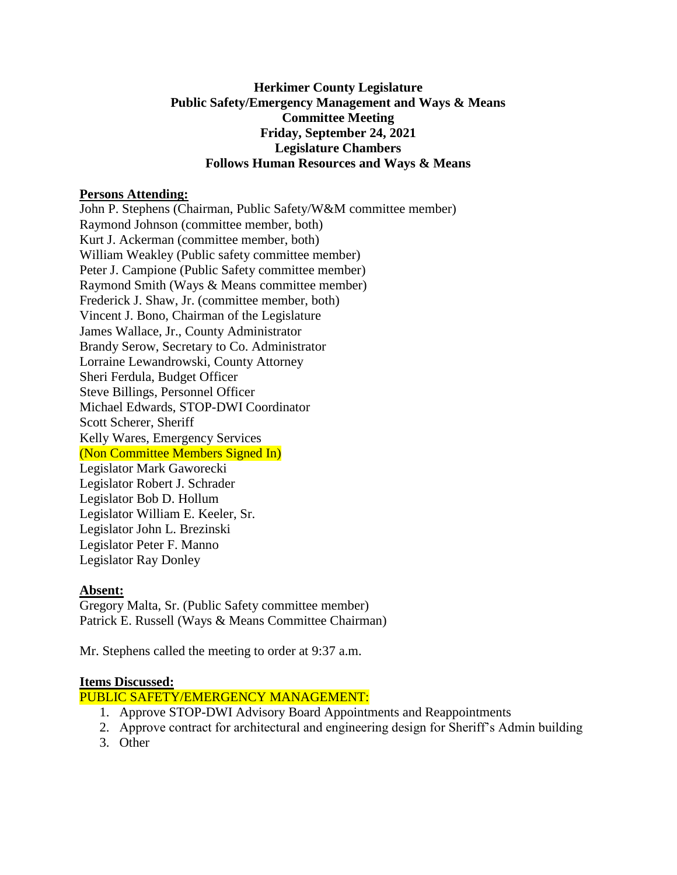## **Herkimer County Legislature Public Safety/Emergency Management and Ways & Means Committee Meeting Friday, September 24, 2021 Legislature Chambers Follows Human Resources and Ways & Means**

#### **Persons Attending:**

John P. Stephens (Chairman, Public Safety/W&M committee member) Raymond Johnson (committee member, both) Kurt J. Ackerman (committee member, both) William Weakley (Public safety committee member) Peter J. Campione (Public Safety committee member) Raymond Smith (Ways & Means committee member) Frederick J. Shaw, Jr. (committee member, both) Vincent J. Bono, Chairman of the Legislature James Wallace, Jr., County Administrator Brandy Serow, Secretary to Co. Administrator Lorraine Lewandrowski, County Attorney Sheri Ferdula, Budget Officer Steve Billings, Personnel Officer Michael Edwards, STOP-DWI Coordinator Scott Scherer, Sheriff Kelly Wares, Emergency Services (Non Committee Members Signed In) Legislator Mark Gaworecki Legislator Robert J. Schrader Legislator Bob D. Hollum Legislator William E. Keeler, Sr. Legislator John L. Brezinski Legislator Peter F. Manno Legislator Ray Donley

#### **Absent:**

Gregory Malta, Sr. (Public Safety committee member) Patrick E. Russell (Ways & Means Committee Chairman)

Mr. Stephens called the meeting to order at 9:37 a.m.

#### **Items Discussed:**

PUBLIC SAFETY/EMERGENCY MANAGEMENT:

- 1. Approve STOP-DWI Advisory Board Appointments and Reappointments
- 2. Approve contract for architectural and engineering design for Sheriff's Admin building
- 3. Other